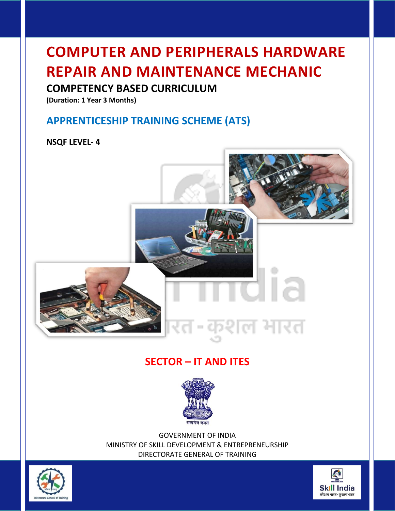# **COMPUTER AND PERIPHERALS HARDWARE REPAIR AND MAINTENANCE MECHANIC**

# **COMPETENCY BASED CURRICULUM**

**(Duration: 1 Year 3 Months)**

# **APPRENTICESHIP TRAINING SCHEME (ATS)**

# **NSQF LEVEL- 4**



# **SECTOR – IT AND ITES**



GOVERNMENT OF INDIA MINISTRY OF SKILL DEVELOPMENT & ENTREPRENEURSHIP DIRECTORATE GENERAL OF TRAINING



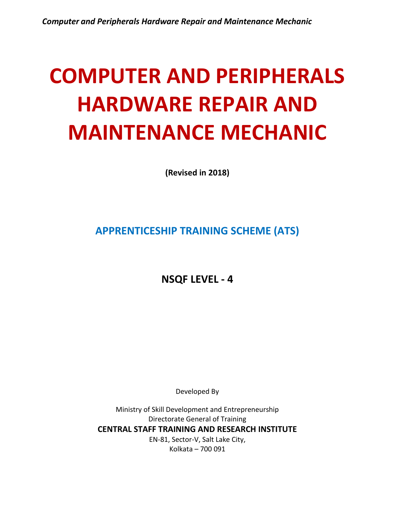# **COMPUTER AND PERIPHERALS HARDWARE REPAIR AND MAINTENANCE MECHANIC**

**(Revised in 2018)**

**APPRENTICESHIP TRAINING SCHEME (ATS)**

**NSQF LEVEL - 4**

Developed By

Ministry of Skill Development and Entrepreneurship Directorate General of Training **CENTRAL STAFF TRAINING AND RESEARCH INSTITUTE** EN-81, Sector-V, Salt Lake City, Kolkata – 700 091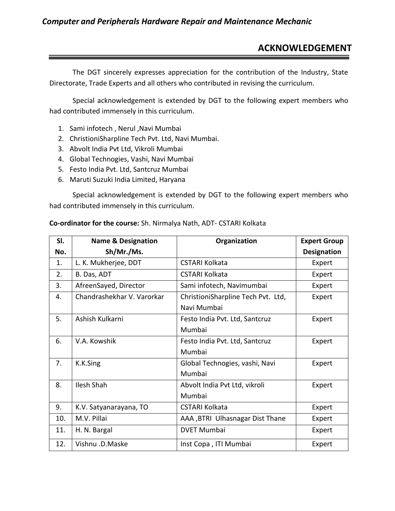# **ACKNOWLEDGEMENT**

The DGT sincerely expresses appreciation for the contribution of the Industry, State Directorate, Trade Experts and all others who contributed in revising the curriculum.

Special acknowledgement is extended by DGT to the following expert members who had contributed immensely in this curriculum.

- 1. Sami infotech , Nerul ,Navi Mumbai
- 2. ChristioniSharpline Tech Pvt. Ltd, Navi Mumbai.
- 3. Abvolt India Pvt Ltd, Vikroli Mumbai
- 4. Global Technogies, Vashi, Navi Mumbai
- 5. Festo India Pvt. Ltd, Santcruz Mumbai
- 6. Maruti Suzuki India Limited, Haryana

Special acknowledgement is extended by DGT to the following expert members who had contributed immensely in this curriculum.

| SI. | <b>Name &amp; Designation</b> | Organization                       | <b>Expert Group</b> |
|-----|-------------------------------|------------------------------------|---------------------|
| No. | Sh/Mr./Ms.                    |                                    | <b>Designation</b>  |
| 1.  | L. K. Mukherjee, DDT          | <b>CSTARI Kolkata</b>              | Expert              |
| 2.  | B. Das, ADT                   | <b>CSTARI Kolkata</b>              | Expert              |
| 3.  | AfreenSayed, Director         | Sami infotech, Navimumbai          | Expert              |
| 4.  | Chandrashekhar V. Varorkar    | ChristioniSharpline Tech Pvt. Ltd, | Expert              |
|     |                               | Navi Mumbai                        |                     |
| 5.  | Ashish Kulkarni               | Festo India Pvt. Ltd, Santcruz     | Expert              |
|     |                               | Mumbai                             |                     |
| 6.  | V.A. Kowshik                  | Festo India Pvt. Ltd, Santcruz     | Expert              |
|     |                               | Mumbai                             |                     |
| 7.  | K.K.Sing                      | Global Technogies, vashi, Navi     | Expert              |
|     |                               | Mumbai                             |                     |
| 8.  | <b>Ilesh Shah</b>             | Abvolt India Pvt Ltd, vikroli      | Expert              |
|     |                               | Mumbai                             |                     |
| 9.  | K.V. Satyanarayana, TO        | <b>CSTARI Kolkata</b>              | Expert              |
| 10. | M.V. Pillai                   | AAA , BTRI Ulhasnagar Dist Thane   | Expert              |
| 11. | H. N. Bargal                  | <b>DVET Mumbai</b>                 | Expert              |
| 12. | Vishnu .D.Maske               | Inst Copa, ITI Mumbai              | Expert              |

#### **Co-ordinator for the course:** Sh. Nirmalya Nath, ADT- CSTARI Kolkata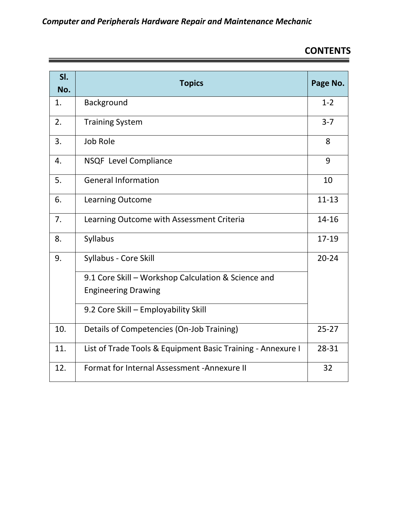# **CONTENTS**

| SI.<br>No. | <b>Topics</b>                                               | Page No.  |
|------------|-------------------------------------------------------------|-----------|
| 1.         | Background                                                  | $1 - 2$   |
| 2.         | <b>Training System</b>                                      | $3 - 7$   |
| 3.         | <b>Job Role</b>                                             | 8         |
| 4.         | <b>NSQF Level Compliance</b>                                | 9         |
| 5.         | <b>General Information</b>                                  | 10        |
| 6.         | <b>Learning Outcome</b>                                     | $11 - 13$ |
| 7.         | Learning Outcome with Assessment Criteria                   | $14 - 16$ |
| 8.         | Syllabus                                                    | 17-19     |
| 9.         | Syllabus - Core Skill                                       | $20 - 24$ |
|            | 9.1 Core Skill - Workshop Calculation & Science and         |           |
|            | <b>Engineering Drawing</b>                                  |           |
|            | 9.2 Core Skill - Employability Skill                        |           |
| 10.        | Details of Competencies (On-Job Training)                   | $25 - 27$ |
| 11.        | List of Trade Tools & Equipment Basic Training - Annexure I | 28-31     |
| 12.        | Format for Internal Assessment - Annexure II                | 32        |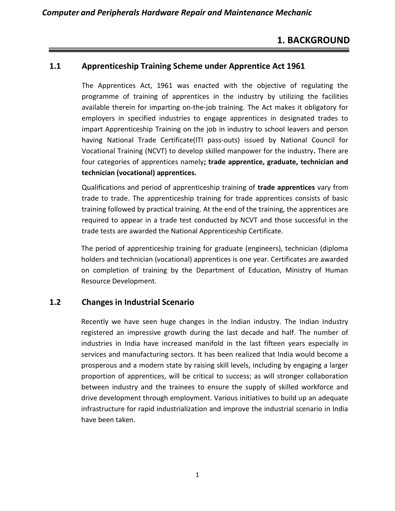# **1. BACKGROUND**

#### **1.1 Apprenticeship Training Scheme under Apprentice Act 1961**

The Apprentices Act, 1961 was enacted with the objective of regulating the programme of training of apprentices in the industry by utilizing the facilities available therein for imparting on-the-job training. The Act makes it obligatory for employers in specified industries to engage apprentices in designated trades to impart Apprenticeship Training on the job in industry to school leavers and person having National Trade Certificate(ITI pass-outs) issued by National Council for Vocational Training (NCVT) to develop skilled manpower for the industry**.** There are four categories of apprentices namely**; trade apprentice, graduate, technician and technician (vocational) apprentices.** 

Qualifications and period of apprenticeship training of **trade apprentices** vary from trade to trade. The apprenticeship training for trade apprentices consists of basic training followed by practical training. At the end of the training, the apprentices are required to appear in a trade test conducted by NCVT and those successful in the trade tests are awarded the National Apprenticeship Certificate.

The period of apprenticeship training for graduate (engineers), technician (diploma holders and technician (vocational) apprentices is one year. Certificates are awarded on completion of training by the Department of Education, Ministry of Human Resource Development.

#### **1.2 Changes in Industrial Scenario**

Recently we have seen huge changes in the Indian industry. The Indian Industry registered an impressive growth during the last decade and half. The number of industries in India have increased manifold in the last fifteen years especially in services and manufacturing sectors. It has been realized that India would become a prosperous and a modern state by raising skill levels, including by engaging a larger proportion of apprentices, will be critical to success; as will stronger collaboration between industry and the trainees to ensure the supply of skilled workforce and drive development through employment. Various initiatives to build up an adequate infrastructure for rapid industrialization and improve the industrial scenario in India have been taken.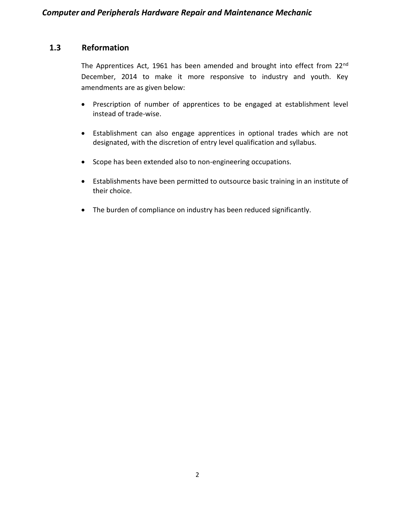# **1.3 Reformation**

The Apprentices Act, 1961 has been amended and brought into effect from 22<sup>nd</sup> December, 2014 to make it more responsive to industry and youth. Key amendments are as given below:

- Prescription of number of apprentices to be engaged at establishment level instead of trade-wise.
- Establishment can also engage apprentices in optional trades which are not designated, with the discretion of entry level qualification and syllabus.
- Scope has been extended also to non-engineering occupations.
- Establishments have been permitted to outsource basic training in an institute of their choice.
- The burden of compliance on industry has been reduced significantly.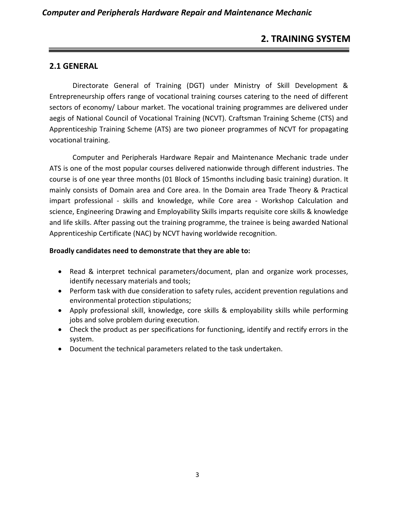# **2. TRAINING SYSTEM**

#### **2.1 GENERAL**

Directorate General of Training (DGT) under Ministry of Skill Development & Entrepreneurship offers range of vocational training courses catering to the need of different sectors of economy/ Labour market. The vocational training programmes are delivered under aegis of National Council of Vocational Training (NCVT). Craftsman Training Scheme (CTS) and Apprenticeship Training Scheme (ATS) are two pioneer programmes of NCVT for propagating vocational training.

Computer and Peripherals Hardware Repair and Maintenance Mechanic trade under ATS is one of the most popular courses delivered nationwide through different industries. The course is of one year three months (01 Block of 15months including basic training) duration. It mainly consists of Domain area and Core area. In the Domain area Trade Theory & Practical impart professional - skills and knowledge, while Core area - Workshop Calculation and science, Engineering Drawing and Employability Skills imparts requisite core skills & knowledge and life skills. After passing out the training programme, the trainee is being awarded National Apprenticeship Certificate (NAC) by NCVT having worldwide recognition.

#### **Broadly candidates need to demonstrate that they are able to:**

- Read & interpret technical parameters/document, plan and organize work processes, identify necessary materials and tools;
- Perform task with due consideration to safety rules, accident prevention regulations and environmental protection stipulations;
- Apply professional skill, knowledge, core skills & employability skills while performing jobs and solve problem during execution.
- Check the product as per specifications for functioning, identify and rectify errors in the system.
- Document the technical parameters related to the task undertaken.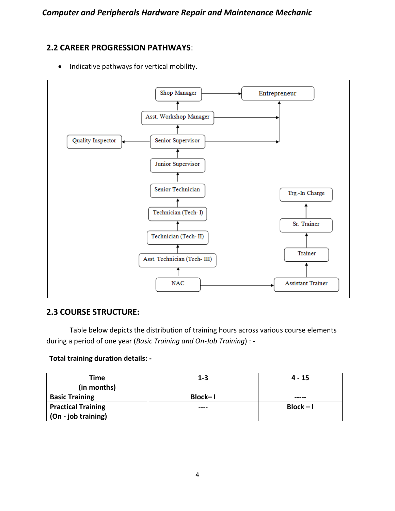#### **2.2 CAREER PROGRESSION PATHWAYS**:



• Indicative pathways for vertical mobility.

#### **2.3 COURSE STRUCTURE:**

Table below depicts the distribution of training hours across various course elements during a period of one year (*Basic Training and On-Job Training*) : -

#### **Total training duration details: -**

| Time                      | $1 - 3$ | 4 - 15      |
|---------------------------|---------|-------------|
| (in months)               |         |             |
| <b>Basic Training</b>     | Block-1 | -----       |
| <b>Practical Training</b> | ----    | $Block - I$ |
| (On - job training)       |         |             |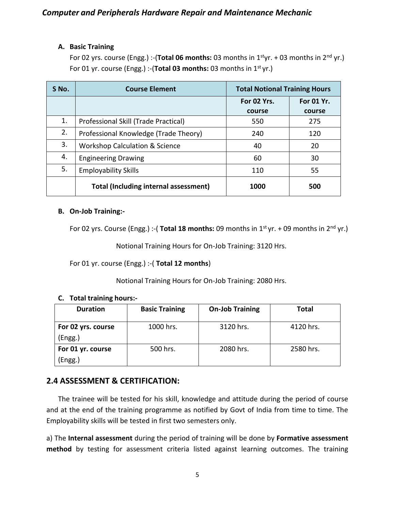#### **A. Basic Training**

For 02 yrs. course (Engg.) :-(**Total 06 months:** 03 months in 1<sup>st</sup>yr. + 03 months in 2<sup>nd</sup> yr.) For 01 yr. course (Engg.) :-(Total 03 months: 03 months in 1<sup>st</sup> yr.)

| S No. | <b>Course Element</b><br><b>Total Notional Training Hours</b> |             |            |
|-------|---------------------------------------------------------------|-------------|------------|
|       |                                                               | For 02 Yrs. | For 01 Yr. |
|       |                                                               | course      | course     |
| 1.    | Professional Skill (Trade Practical)                          | 550         | 275        |
| 2.    | Professional Knowledge (Trade Theory)                         | 240         | 120        |
| 3.    | <b>Workshop Calculation &amp; Science</b>                     | 40          | 20         |
| 4.    | <b>Engineering Drawing</b>                                    | 60          | 30         |
| 5.    | <b>Employability Skills</b>                                   | 110         | 55         |
|       | <b>Total (Including internal assessment)</b>                  | 1000        | 500        |

#### **B. On-Job Training:-**

For 02 yrs. Course (Engg.) :- (**Total 18 months:** 09 months in 1<sup>st</sup> yr. + 09 months in 2<sup>nd</sup> yr.)

Notional Training Hours for On-Job Training: 3120 Hrs.

For 01 yr. course (Engg.) :-( **Total 12 months**)

Notional Training Hours for On-Job Training: 2080 Hrs.

#### **C. Total training hours:-**

| <b>Duration</b>    | <b>Basic Training</b> | <b>On-Job Training</b> | <b>Total</b> |
|--------------------|-----------------------|------------------------|--------------|
| For 02 yrs. course | 1000 hrs.             | 3120 hrs.              | 4120 hrs.    |
| (Engg.)            |                       |                        |              |
| For 01 yr. course  | 500 hrs.              | 2080 hrs.              | 2580 hrs.    |
| (Engg.)            |                       |                        |              |

#### **2.4 ASSESSMENT & CERTIFICATION:**

The trainee will be tested for his skill, knowledge and attitude during the period of course and at the end of the training programme as notified by Govt of India from time to time. The Employability skills will be tested in first two semesters only.

a) The **Internal assessment** during the period of training will be done by **Formative assessment method** by testing for assessment criteria listed against learning outcomes. The training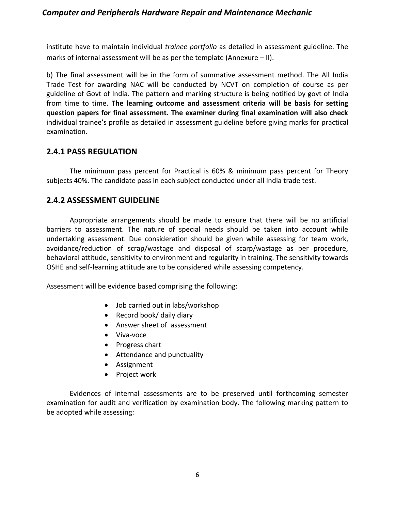institute have to maintain individual *trainee portfolio* as detailed in assessment guideline. The marks of internal assessment will be as per the template (Annexure – II).

b) The final assessment will be in the form of summative assessment method. The All India Trade Test for awarding NAC will be conducted by NCVT on completion of course as per guideline of Govt of India. The pattern and marking structure is being notified by govt of India from time to time. **The learning outcome and assessment criteria will be basis for setting question papers for final assessment. The examiner during final examination will also check**  individual trainee's profile as detailed in assessment guideline before giving marks for practical examination.

#### **2.4.1 PASS REGULATION**

The minimum pass percent for Practical is 60% & minimum pass percent for Theory subjects 40%. The candidate pass in each subject conducted under all India trade test.

#### **2.4.2 ASSESSMENT GUIDELINE**

Appropriate arrangements should be made to ensure that there will be no artificial barriers to assessment. The nature of special needs should be taken into account while undertaking assessment. Due consideration should be given while assessing for team work, avoidance/reduction of scrap/wastage and disposal of scarp/wastage as per procedure, behavioral attitude, sensitivity to environment and regularity in training. The sensitivity towards OSHE and self-learning attitude are to be considered while assessing competency.

Assessment will be evidence based comprising the following:

- Job carried out in labs/workshop
- Record book/ daily diary
- Answer sheet of assessment
- Viva-voce
- Progress chart
- Attendance and punctuality
- Assignment
- Project work

Evidences of internal assessments are to be preserved until forthcoming semester examination for audit and verification by examination body. The following marking pattern to be adopted while assessing: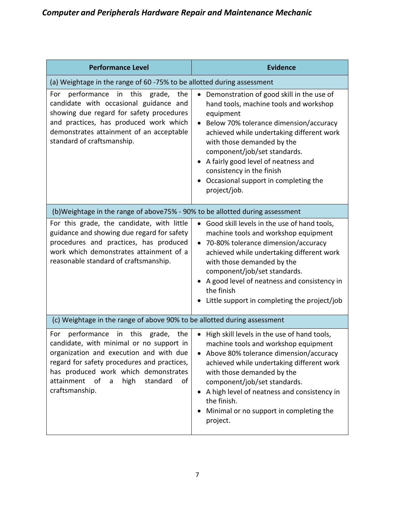| <b>Performance Level</b>                                                                                                                                                                                                                                                                              | <b>Evidence</b>                                                                                                                                                                                                                                                                                                                                                                   |  |  |  |
|-------------------------------------------------------------------------------------------------------------------------------------------------------------------------------------------------------------------------------------------------------------------------------------------------------|-----------------------------------------------------------------------------------------------------------------------------------------------------------------------------------------------------------------------------------------------------------------------------------------------------------------------------------------------------------------------------------|--|--|--|
| (a) Weightage in the range of 60 -75% to be allotted during assessment                                                                                                                                                                                                                                |                                                                                                                                                                                                                                                                                                                                                                                   |  |  |  |
| this<br>performance<br>in<br>grade,<br>the<br>For<br>candidate with occasional guidance and<br>showing due regard for safety procedures<br>and practices, has produced work which<br>demonstrates attainment of an acceptable<br>standard of craftsmanship.                                           | Demonstration of good skill in the use of<br>hand tools, machine tools and workshop<br>equipment<br>Below 70% tolerance dimension/accuracy<br>achieved while undertaking different work<br>with those demanded by the<br>component/job/set standards.<br>A fairly good level of neatness and<br>consistency in the finish<br>Occasional support in completing the<br>project/job. |  |  |  |
| (b)Weightage in the range of above75% - 90% to be allotted during assessment                                                                                                                                                                                                                          |                                                                                                                                                                                                                                                                                                                                                                                   |  |  |  |
| For this grade, the candidate, with little<br>guidance and showing due regard for safety<br>procedures and practices, has produced<br>work which demonstrates attainment of a<br>reasonable standard of craftsmanship.                                                                                | Good skill levels in the use of hand tools,<br>machine tools and workshop equipment<br>70-80% tolerance dimension/accuracy<br>$\bullet$<br>achieved while undertaking different work<br>with those demanded by the<br>component/job/set standards.<br>A good level of neatness and consistency in<br>the finish<br>Little support in completing the project/job                   |  |  |  |
| (c) Weightage in the range of above 90% to be allotted during assessment                                                                                                                                                                                                                              |                                                                                                                                                                                                                                                                                                                                                                                   |  |  |  |
| performance<br>grade,<br>in<br>this<br>the<br>For<br>candidate, with minimal or no support in<br>organization and execution and with due<br>regard for safety procedures and practices,<br>has produced work which demonstrates<br>attainment<br>_of<br>high<br>standard<br>of<br>a<br>craftsmanship. | High skill levels in the use of hand tools,<br>$\bullet$<br>machine tools and workshop equipment<br>Above 80% tolerance dimension/accuracy<br>achieved while undertaking different work<br>with those demanded by the<br>component/job/set standards.<br>A high level of neatness and consistency in<br>the finish.<br>Minimal or no support in completing the<br>project.        |  |  |  |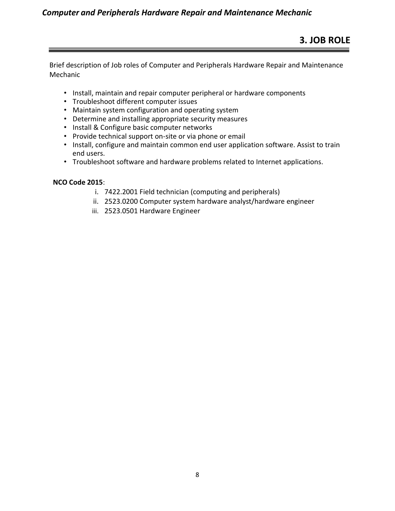Brief description of Job roles of Computer and Peripherals Hardware Repair and Maintenance Mechanic

- Install, maintain and repair computer peripheral or hardware components
- Troubleshoot different computer issues
- Maintain system configuration and operating system
- Determine and installing appropriate security measures
- Install & Configure basic computer networks
- Provide technical support on-site or via phone or email
- Install, configure and maintain common end user application software. Assist to train end users.
- Troubleshoot software and hardware problems related to Internet applications.

#### **NCO Code 2015**:

- i. 7422.2001 Field technician (computing and peripherals)
- ii. 2523.0200 Computer system hardware analyst/hardware engineer
- iii. 2523.0501 Hardware Engineer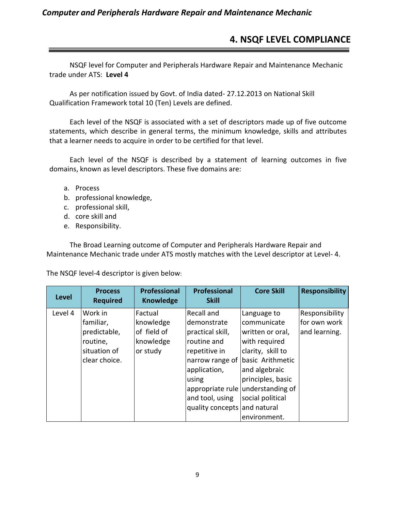# **4. NSQF LEVEL COMPLIANCE**

NSQF level for Computer and Peripherals Hardware Repair and Maintenance Mechanic trade under ATS: **Level 4**

As per notification issued by Govt. of India dated- 27.12.2013 on National Skill Qualification Framework total 10 (Ten) Levels are defined.

Each level of the NSQF is associated with a set of descriptors made up of five outcome statements, which describe in general terms, the minimum knowledge, skills and attributes that a learner needs to acquire in order to be certified for that level.

Each level of the NSQF is described by a statement of learning outcomes in five domains, known as level descriptors. These five domains are:

- a. Process
- b. professional knowledge,
- c. professional skill,
- d. core skill and
- e. Responsibility.

The Broad Learning outcome of Computer and Peripherals Hardware Repair and Maintenance Mechanic trade under ATS mostly matches with the Level descriptor at Level- 4.

The NSQF level-4 descriptor is given below:

| <b>Level</b> | <b>Process</b><br><b>Required</b> | <b>Professional</b><br><b>Knowledge</b> | <b>Professional</b><br><b>Skill</b> | <b>Core Skill</b>                 | <b>Responsibility</b>          |
|--------------|-----------------------------------|-----------------------------------------|-------------------------------------|-----------------------------------|--------------------------------|
| Level 4      | Work in<br>familiar,              | Factual<br>knowledge                    | Recall and<br>demonstrate           | Language to<br>communicate        | Responsibility<br>for own work |
|              | predictable,                      | of field of                             | practical skill,                    | written or oral,                  | and learning.                  |
|              | routine,                          | knowledge                               | routine and                         | with required                     |                                |
|              | situation of                      | or study                                | repetitive in                       | clarity, skill to                 |                                |
|              | clear choice.                     |                                         |                                     | narrow range of basic Arithmetic  |                                |
|              |                                   |                                         | application,                        | and algebraic                     |                                |
|              |                                   |                                         | using                               | principles, basic                 |                                |
|              |                                   |                                         |                                     | appropriate rule understanding of |                                |
|              |                                   |                                         | and tool, using                     | social political                  |                                |
|              |                                   |                                         | quality concepts and natural        |                                   |                                |
|              |                                   |                                         |                                     | environment.                      |                                |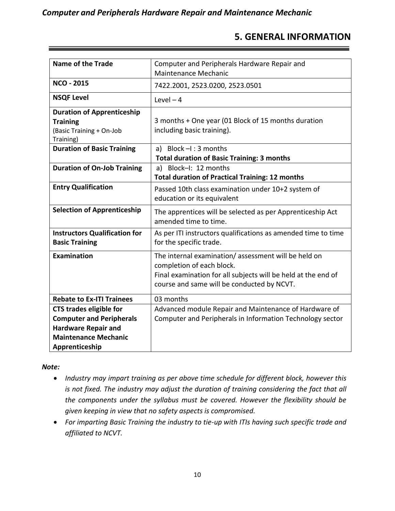# **5. GENERAL INFORMATION**

| <b>Name of the Trade</b>              | Computer and Peripherals Hardware Repair and                  |
|---------------------------------------|---------------------------------------------------------------|
|                                       | <b>Maintenance Mechanic</b>                                   |
|                                       |                                                               |
| <b>NCO - 2015</b>                     | 7422.2001, 2523.0200, 2523.0501                               |
| <b>NSQF Level</b>                     | Level $-4$                                                    |
| <b>Duration of Apprenticeship</b>     |                                                               |
| <b>Training</b>                       | 3 months + One year (01 Block of 15 months duration           |
| (Basic Training + On-Job<br>Training) | including basic training).                                    |
| <b>Duration of Basic Training</b>     | a) Block $-I$ : 3 months                                      |
|                                       | <b>Total duration of Basic Training: 3 months</b>             |
| <b>Duration of On-Job Training</b>    | Block-I: 12 months<br>a)                                      |
|                                       | <b>Total duration of Practical Training: 12 months</b>        |
| <b>Entry Qualification</b>            | Passed 10th class examination under 10+2 system of            |
|                                       | education or its equivalent                                   |
|                                       |                                                               |
| <b>Selection of Apprenticeship</b>    | The apprentices will be selected as per Apprenticeship Act    |
|                                       | amended time to time.                                         |
| <b>Instructors Qualification for</b>  | As per ITI instructors qualifications as amended time to time |
| <b>Basic Training</b>                 | for the specific trade.                                       |
| Examination                           | The internal examination/assessment will be held on           |
|                                       | completion of each block.                                     |
|                                       | Final examination for all subjects will be held at the end of |
|                                       | course and same will be conducted by NCVT.                    |
|                                       |                                                               |
| <b>Rebate to Ex-ITI Trainees</b>      | 03 months                                                     |
| <b>CTS trades eligible for</b>        | Advanced module Repair and Maintenance of Hardware of         |
| <b>Computer and Peripherals</b>       | Computer and Peripherals in Information Technology sector     |
| <b>Hardware Repair and</b>            |                                                               |
| <b>Maintenance Mechanic</b>           |                                                               |
| Apprenticeship                        |                                                               |

#### *Note:*

- *Industry may impart training as per above time schedule for different block, however this is not fixed. The industry may adjust the duration of training considering the fact that all the components under the syllabus must be covered. However the flexibility should be given keeping in view that no safety aspects is compromised.*
- *For imparting Basic Training the industry to tie-up with ITIs having such specific trade and affiliated to NCVT.*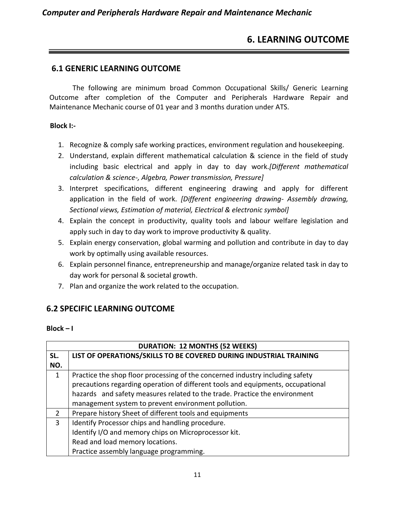# **6. LEARNING OUTCOME**

#### **6.1 GENERIC LEARNING OUTCOME**

The following are minimum broad Common Occupational Skills/ Generic Learning Outcome after completion of the Computer and Peripherals Hardware Repair and Maintenance Mechanic course of 01 year and 3 months duration under ATS.

#### **Block I:-**

- 1. Recognize & comply safe working practices, environment regulation and housekeeping.
- 2. Understand, explain different mathematical calculation & science in the field of study including basic electrical and apply in day to day work.*[Different mathematical calculation & science-, Algebra, Power transmission, Pressure]*
- 3. Interpret specifications, different engineering drawing and apply for different application in the field of work. *[Different engineering drawing- Assembly drawing, Sectional views, Estimation of material, Electrical & electronic symbol]*
- 4. Explain the concept in productivity, quality tools and labour welfare legislation and apply such in day to day work to improve productivity & quality.
- 5. Explain energy conservation, global warming and pollution and contribute in day to day work by optimally using available resources.
- 6. Explain personnel finance, entrepreneurship and manage/organize related task in day to day work for personal & societal growth.
- 7. Plan and organize the work related to the occupation.

# **6.2 SPECIFIC LEARNING OUTCOME**

#### **Block – I**

| <b>DURATION: 12 MONTHS (52 WEEKS)</b> |                                                                                 |  |  |
|---------------------------------------|---------------------------------------------------------------------------------|--|--|
| SL.                                   | LIST OF OPERATIONS/SKILLS TO BE COVERED DURING INDUSTRIAL TRAINING              |  |  |
| NO.                                   |                                                                                 |  |  |
| $\mathbf{1}$                          | Practice the shop floor processing of the concerned industry including safety   |  |  |
|                                       | precautions regarding operation of different tools and equipments, occupational |  |  |
|                                       | hazards and safety measures related to the trade. Practice the environment      |  |  |
|                                       | management system to prevent environment pollution.                             |  |  |
| $\mathcal{L}$                         | Prepare history Sheet of different tools and equipments                         |  |  |
| 3                                     | Identify Processor chips and handling procedure.                                |  |  |
|                                       | Identify I/O and memory chips on Microprocessor kit.                            |  |  |
|                                       | Read and load memory locations.                                                 |  |  |
|                                       | Practice assembly language programming.                                         |  |  |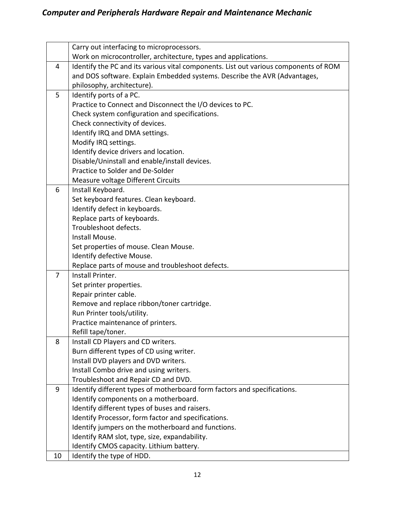|    | Carry out interfacing to microprocessors.                                            |
|----|--------------------------------------------------------------------------------------|
|    | Work on microcontroller, architecture, types and applications.                       |
| 4  | Identify the PC and its various vital components. List out various components of ROM |
|    | and DOS software. Explain Embedded systems. Describe the AVR (Advantages,            |
|    | philosophy, architecture).                                                           |
| 5  | Identify ports of a PC.                                                              |
|    | Practice to Connect and Disconnect the I/O devices to PC.                            |
|    | Check system configuration and specifications.                                       |
|    | Check connectivity of devices.                                                       |
|    | Identify IRQ and DMA settings.                                                       |
|    | Modify IRQ settings.                                                                 |
|    | Identify device drivers and location.                                                |
|    | Disable/Uninstall and enable/install devices.                                        |
|    | Practice to Solder and De-Solder                                                     |
|    | Measure voltage Different Circuits                                                   |
| 6  | Install Keyboard.                                                                    |
|    | Set keyboard features. Clean keyboard.                                               |
|    | Identify defect in keyboards.                                                        |
|    | Replace parts of keyboards.                                                          |
|    | Troubleshoot defects.                                                                |
|    | Install Mouse.                                                                       |
|    | Set properties of mouse. Clean Mouse.                                                |
|    | Identify defective Mouse.                                                            |
|    | Replace parts of mouse and troubleshoot defects.                                     |
| 7  | Install Printer.                                                                     |
|    | Set printer properties.                                                              |
|    | Repair printer cable.                                                                |
|    | Remove and replace ribbon/toner cartridge.                                           |
|    | Run Printer tools/utility.                                                           |
|    | Practice maintenance of printers.                                                    |
|    | Refill tape/toner.                                                                   |
| 8  | Install CD Players and CD writers.                                                   |
|    | Burn different types of CD using writer.                                             |
|    | Install DVD players and DVD writers.                                                 |
|    | Install Combo drive and using writers.                                               |
|    | Troubleshoot and Repair CD and DVD.                                                  |
| 9  | Identify different types of motherboard form factors and specifications.             |
|    | Identify components on a motherboard.                                                |
|    | Identify different types of buses and raisers.                                       |
|    | Identify Processor, form factor and specifications.                                  |
|    | Identify jumpers on the motherboard and functions.                                   |
|    | Identify RAM slot, type, size, expandability.                                        |
|    | Identify CMOS capacity. Lithium battery.                                             |
| 10 | Identify the type of HDD.                                                            |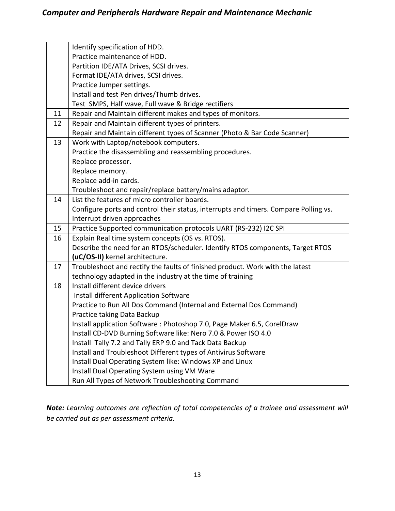|    | Identify specification of HDD.                                                       |
|----|--------------------------------------------------------------------------------------|
|    | Practice maintenance of HDD.                                                         |
|    | Partition IDE/ATA Drives, SCSI drives.                                               |
|    | Format IDE/ATA drives, SCSI drives.                                                  |
|    | Practice Jumper settings.                                                            |
|    | Install and test Pen drives/Thumb drives.                                            |
|    | Test SMPS, Half wave, Full wave & Bridge rectifiers                                  |
| 11 | Repair and Maintain different makes and types of monitors.                           |
| 12 | Repair and Maintain different types of printers.                                     |
|    | Repair and Maintain different types of Scanner (Photo & Bar Code Scanner)            |
| 13 | Work with Laptop/notebook computers.                                                 |
|    | Practice the disassembling and reassembling procedures.                              |
|    | Replace processor.                                                                   |
|    | Replace memory.                                                                      |
|    | Replace add-in cards.                                                                |
|    | Troubleshoot and repair/replace battery/mains adaptor.                               |
| 14 | List the features of micro controller boards.                                        |
|    | Configure ports and control their status, interrupts and timers. Compare Polling vs. |
|    | Interrupt driven approaches                                                          |
| 15 | Practice Supported communication protocols UART (RS-232) I2C SPI                     |
| 16 | Explain Real time system concepts (OS vs. RTOS).                                     |
|    | Describe the need for an RTOS/scheduler. Identify RTOS components, Target RTOS       |
|    | (uC/OS-II) kernel architecture.                                                      |
| 17 | Troubleshoot and rectify the faults of finished product. Work with the latest        |
|    | technology adapted in the industry at the time of training                           |
| 18 | Install different device drivers                                                     |
|    | Install different Application Software                                               |
|    | Practice to Run All Dos Command (Internal and External Dos Command)                  |
|    | Practice taking Data Backup                                                          |
|    | Install application Software: Photoshop 7.0, Page Maker 6.5, CorelDraw               |
|    | Install CD-DVD Burning Software like: Nero 7.0 & Power ISO 4.0                       |
|    | Install Tally 7.2 and Tally ERP 9.0 and Tack Data Backup                             |
|    | Install and Troubleshoot Different types of Antivirus Software                       |
|    | Install Dual Operating System like: Windows XP and Linux                             |
|    | Install Dual Operating System using VM Ware                                          |
|    | Run All Types of Network Troubleshooting Command                                     |

*Note: Learning outcomes are reflection of total competencies of a trainee and assessment will be carried out as per assessment criteria.*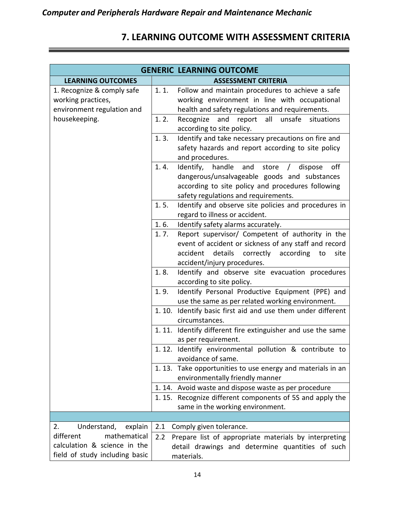# **7. LEARNING OUTCOME WITH ASSESSMENT CRITERIA**

|                                                                                |                                                              | <b>GENERIC LEARNING OUTCOME</b>                                                                                                                                                                             |
|--------------------------------------------------------------------------------|--------------------------------------------------------------|-------------------------------------------------------------------------------------------------------------------------------------------------------------------------------------------------------------|
| <b>LEARNING OUTCOMES</b>                                                       |                                                              | <b>ASSESSMENT CRITERIA</b>                                                                                                                                                                                  |
| 1. Recognize & comply safe<br>working practices,<br>environment regulation and | 1.1.                                                         | Follow and maintain procedures to achieve a safe<br>working environment in line with occupational<br>health and safety regulations and requirements.                                                        |
| housekeeping.                                                                  | 1.2.                                                         | Recognize<br>and<br>report all<br>unsafe situations<br>according to site policy.                                                                                                                            |
|                                                                                | 1.3.                                                         | Identify and take necessary precautions on fire and<br>safety hazards and report according to site policy<br>and procedures.                                                                                |
|                                                                                | 1.4.                                                         | off<br>Identify, handle<br>and<br>store<br>dispose<br>$\prime$<br>dangerous/unsalvageable goods and substances<br>according to site policy and procedures following<br>safety regulations and requirements. |
|                                                                                | 1.5.                                                         | Identify and observe site policies and procedures in<br>regard to illness or accident.                                                                                                                      |
|                                                                                | 1.6.                                                         | Identify safety alarms accurately.                                                                                                                                                                          |
|                                                                                | 1.7.                                                         | Report supervisor/ Competent of authority in the<br>event of accident or sickness of any staff and record<br>details<br>correctly<br>according<br>accident<br>to<br>site                                    |
|                                                                                | 1.8.                                                         | accident/injury procedures.<br>Identify and observe site evacuation procedures                                                                                                                              |
|                                                                                |                                                              | according to site policy.                                                                                                                                                                                   |
|                                                                                | 1.9.                                                         | Identify Personal Productive Equipment (PPE) and<br>use the same as per related working environment.                                                                                                        |
|                                                                                | 1.10.                                                        | Identify basic first aid and use them under different<br>circumstances.                                                                                                                                     |
|                                                                                | 1.11.                                                        | Identify different fire extinguisher and use the same<br>as per requirement.                                                                                                                                |
|                                                                                | 1.12.                                                        | Identify environmental pollution & contribute to<br>avoidance of same.                                                                                                                                      |
|                                                                                | 1.13.                                                        | Take opportunities to use energy and materials in an<br>environmentally friendly manner                                                                                                                     |
|                                                                                |                                                              | 1.14. Avoid waste and dispose waste as per procedure                                                                                                                                                        |
|                                                                                | 1.15.                                                        | Recognize different components of 5S and apply the<br>same in the working environment.                                                                                                                      |
|                                                                                |                                                              |                                                                                                                                                                                                             |
| 2.<br>Understand,<br>explain                                                   | 2.1                                                          | Comply given tolerance.                                                                                                                                                                                     |
| different<br>mathematical                                                      | 2.2<br>Prepare list of appropriate materials by interpreting |                                                                                                                                                                                                             |
| calculation & science in the                                                   |                                                              | detail drawings and determine quantities of such                                                                                                                                                            |
| field of study including basic                                                 |                                                              | materials.                                                                                                                                                                                                  |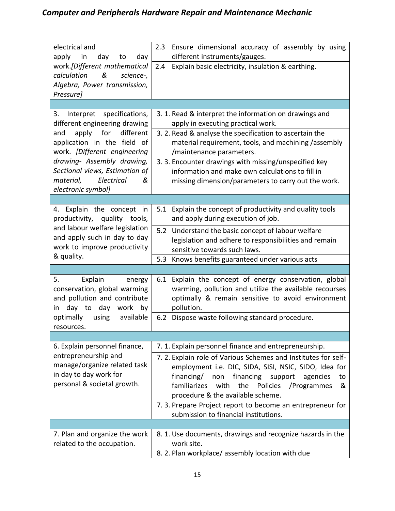| electrical and<br>apply<br>day<br>in<br>day<br>to                                                                   | Ensure dimensional accuracy of assembly by using<br>2.3<br>different instruments/gauges.                                                                                                                                                                                                                                                              |
|---------------------------------------------------------------------------------------------------------------------|-------------------------------------------------------------------------------------------------------------------------------------------------------------------------------------------------------------------------------------------------------------------------------------------------------------------------------------------------------|
| work.[Different mathematical<br>&<br>calculation<br>science-,<br>Algebra, Power transmission,<br>Pressure]          | Explain basic electricity, insulation & earthing.<br>2.4                                                                                                                                                                                                                                                                                              |
|                                                                                                                     |                                                                                                                                                                                                                                                                                                                                                       |
| Interpret specifications,<br>3.<br>different engineering drawing                                                    | 3. 1. Read & interpret the information on drawings and<br>apply in executing practical work.                                                                                                                                                                                                                                                          |
| apply<br>for<br>different<br>and<br>application in the field of<br>work. [Different engineering                     | 3. 2. Read & analyse the specification to ascertain the<br>material requirement, tools, and machining /assembly<br>/maintenance parameters.                                                                                                                                                                                                           |
| drawing- Assembly drawing,<br>Sectional views, Estimation of<br>Electrical<br>material,<br>&<br>electronic symbol]  | 3. 3. Encounter drawings with missing/unspecified key<br>information and make own calculations to fill in<br>missing dimension/parameters to carry out the work.                                                                                                                                                                                      |
|                                                                                                                     |                                                                                                                                                                                                                                                                                                                                                       |
| 4. Explain the concept in<br>productivity, quality tools,                                                           | Explain the concept of productivity and quality tools<br>5.1<br>and apply during execution of job.                                                                                                                                                                                                                                                    |
| and labour welfare legislation<br>and apply such in day to day<br>work to improve productivity                      | 5.2 Understand the basic concept of labour welfare<br>legislation and adhere to responsibilities and remain<br>sensitive towards such laws.                                                                                                                                                                                                           |
| & quality.                                                                                                          | Knows benefits guaranteed under various acts<br>5.3                                                                                                                                                                                                                                                                                                   |
|                                                                                                                     |                                                                                                                                                                                                                                                                                                                                                       |
| Explain<br>5.<br>energy<br>conservation, global warming<br>and pollution and contribute<br>day to day work by<br>in | Explain the concept of energy conservation, global<br>6.1<br>warming, pollution and utilize the available recourses<br>optimally & remain sensitive to avoid environment<br>pollution.                                                                                                                                                                |
| optimally<br>using<br>available<br>resources.                                                                       | Dispose waste following standard procedure.<br>6.2                                                                                                                                                                                                                                                                                                    |
|                                                                                                                     |                                                                                                                                                                                                                                                                                                                                                       |
| 6. Explain personnel finance,                                                                                       | 7. 1. Explain personnel finance and entrepreneurship.                                                                                                                                                                                                                                                                                                 |
| entrepreneurship and<br>manage/organize related task<br>in day to day work for<br>personal & societal growth.       | 7. 2. Explain role of Various Schemes and Institutes for self-<br>employment i.e. DIC, SIDA, SISI, NSIC, SIDO, Idea for<br>financing/<br>financing<br>non<br>support<br>agencies<br>to<br>familiarizes with<br>the<br>Policies<br>/Programmes<br>&<br>procedure & the available scheme.<br>7. 3. Prepare Project report to become an entrepreneur for |
|                                                                                                                     | submission to financial institutions.                                                                                                                                                                                                                                                                                                                 |
|                                                                                                                     |                                                                                                                                                                                                                                                                                                                                                       |
| 7. Plan and organize the work<br>related to the occupation.                                                         | 8. 1. Use documents, drawings and recognize hazards in the<br>work site.                                                                                                                                                                                                                                                                              |
|                                                                                                                     | 8. 2. Plan workplace/ assembly location with due                                                                                                                                                                                                                                                                                                      |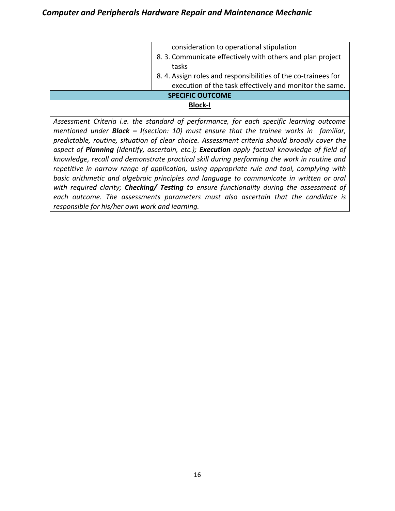|                | consideration to operational stipulation                      |
|----------------|---------------------------------------------------------------|
|                | 8.3. Communicate effectively with others and plan project     |
|                | tasks                                                         |
|                | 8.4. Assign roles and responsibilities of the co-trainees for |
|                | execution of the task effectively and monitor the same.       |
|                | <b>SPECIFIC OUTCOME</b>                                       |
| <b>Block-I</b> |                                                               |
|                |                                                               |

*Assessment Criteria i.e. the standard of performance, for each specific learning outcome mentioned under Block – I(section: 10) must ensure that the trainee works in familiar, predictable, routine, situation of clear choice. Assessment criteria should broadly cover the aspect of Planning (Identify, ascertain, etc.); Execution apply factual knowledge of field of knowledge, recall and demonstrate practical skill during performing the work in routine and repetitive in narrow range of application, using appropriate rule and tool, complying with basic arithmetic and algebraic principles and language to communicate in written or oral with required clarity; Checking/ Testing to ensure functionality during the assessment of each outcome. The assessments parameters must also ascertain that the candidate is responsible for his/her own work and learning.*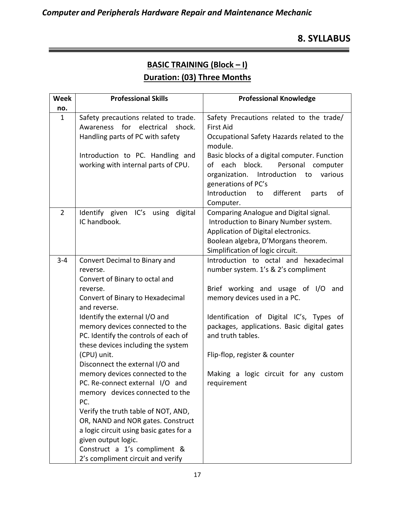# **8. SYLLABUS**

# **BASIC TRAINING (Block – I) Duration: (03) Three Months**

| <b>Week</b>    | <b>Professional Skills</b>                                                                                                                                                                                                                                                                                                                                                                                                                                                                                                                                                                                                                    | <b>Professional Knowledge</b>                                                                                                                                                                                                                                                                                                                               |
|----------------|-----------------------------------------------------------------------------------------------------------------------------------------------------------------------------------------------------------------------------------------------------------------------------------------------------------------------------------------------------------------------------------------------------------------------------------------------------------------------------------------------------------------------------------------------------------------------------------------------------------------------------------------------|-------------------------------------------------------------------------------------------------------------------------------------------------------------------------------------------------------------------------------------------------------------------------------------------------------------------------------------------------------------|
| no.            |                                                                                                                                                                                                                                                                                                                                                                                                                                                                                                                                                                                                                                               |                                                                                                                                                                                                                                                                                                                                                             |
| $\mathbf{1}$   | Safety precautions related to trade.<br>Awareness for electrical shock.<br>Handling parts of PC with safety                                                                                                                                                                                                                                                                                                                                                                                                                                                                                                                                   | Safety Precautions related to the trade/<br>First Aid<br>Occupational Safety Hazards related to the<br>module.                                                                                                                                                                                                                                              |
|                | Introduction to PC. Handling and<br>working with internal parts of CPU.                                                                                                                                                                                                                                                                                                                                                                                                                                                                                                                                                                       | Basic blocks of a digital computer. Function<br>of each block.<br>Personal computer<br>Introduction<br>organization.<br>to<br>various<br>generations of PC's<br>Introduction<br>different<br>of<br>to<br>parts<br>Computer.                                                                                                                                 |
| $\overline{2}$ | Identify given IC's using digital<br>IC handbook.                                                                                                                                                                                                                                                                                                                                                                                                                                                                                                                                                                                             | Comparing Analogue and Digital signal.<br>Introduction to Binary Number system.<br>Application of Digital electronics.<br>Boolean algebra, D'Morgans theorem.<br>Simplification of logic circuit.                                                                                                                                                           |
| $3 - 4$        | Convert Decimal to Binary and<br>reverse.<br>Convert of Binary to octal and<br>reverse.<br>Convert of Binary to Hexadecimal<br>and reverse.<br>Identify the external I/O and<br>memory devices connected to the<br>PC. Identify the controls of each of<br>these devices including the system<br>(CPU) unit.<br>Disconnect the external I/O and<br>memory devices connected to the<br>PC. Re-connect external I/O and<br>memory devices connected to the<br>PC.<br>Verify the truth table of NOT, AND,<br>OR, NAND and NOR gates. Construct<br>a logic circuit using basic gates for a<br>given output logic.<br>Construct a 1's compliment & | Introduction to octal and hexadecimal<br>number system. 1's & 2's compliment<br>Brief working and usage of I/O and<br>memory devices used in a PC.<br>Identification of Digital IC's, Types of<br>packages, applications. Basic digital gates<br>and truth tables.<br>Flip-flop, register & counter<br>Making a logic circuit for any custom<br>requirement |
|                | 2's compliment circuit and verify                                                                                                                                                                                                                                                                                                                                                                                                                                                                                                                                                                                                             |                                                                                                                                                                                                                                                                                                                                                             |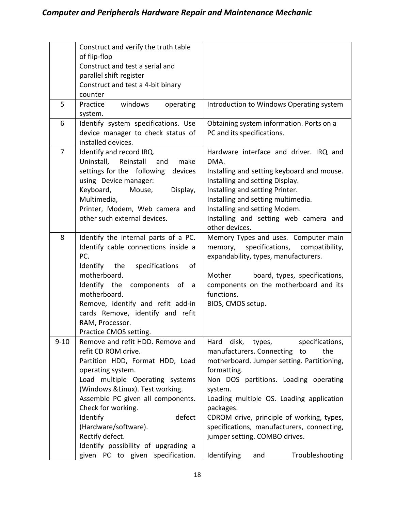|                | Construct and verify the truth table<br>of flip-flop<br>Construct and test a serial and<br>parallel shift register<br>Construct and test a 4-bit binary<br>counter                                                                                                                                                                                                                            |                                                                                                                                                                                                                                                                                                                                                                                                                                  |
|----------------|-----------------------------------------------------------------------------------------------------------------------------------------------------------------------------------------------------------------------------------------------------------------------------------------------------------------------------------------------------------------------------------------------|----------------------------------------------------------------------------------------------------------------------------------------------------------------------------------------------------------------------------------------------------------------------------------------------------------------------------------------------------------------------------------------------------------------------------------|
| 5              | windows<br>Practice<br>operating<br>system.                                                                                                                                                                                                                                                                                                                                                   | Introduction to Windows Operating system                                                                                                                                                                                                                                                                                                                                                                                         |
| 6              | Identify system specifications. Use<br>device manager to check status of<br>installed devices.                                                                                                                                                                                                                                                                                                | Obtaining system information. Ports on a<br>PC and its specifications.                                                                                                                                                                                                                                                                                                                                                           |
| $\overline{7}$ | Identify and record IRQ.<br>Uninstall, Reinstall<br>make<br>and<br>settings for the following<br>devices<br>using Device manager:<br>Keyboard,<br>Mouse,<br>Display,<br>Multimedia,<br>Printer, Modem, Web camera and<br>other such external devices.                                                                                                                                         | Hardware interface and driver. IRQ and<br>DMA.<br>Installing and setting keyboard and mouse.<br>Installing and setting Display.<br>Installing and setting Printer.<br>Installing and setting multimedia.<br>Installing and setting Modem.<br>Installing and setting web camera and<br>other devices.                                                                                                                             |
| 8              | Identify the internal parts of a PC.<br>Identify cable connections inside a<br>PC.<br>Identify the<br>specifications<br>of<br>motherboard.<br>Identify the<br>components of<br>a<br>motherboard.<br>Remove, identify and refit add-in<br>cards Remove, identify and refit<br>RAM, Processor.<br>Practice CMOS setting.                                                                        | Memory Types and uses. Computer main<br>specifications, compatibility,<br>memory,<br>expandability, types, manufacturers.<br>Mother<br>board, types, specifications,<br>components on the motherboard and its<br>functions.<br>BIOS, CMOS setup.                                                                                                                                                                                 |
| $9 - 10$       | Remove and refit HDD. Remove and<br>refit CD ROM drive.<br>Partition HDD, Format HDD, Load<br>operating system.<br>Load multiple Operating systems<br>(Windows & Linux). Test working.<br>Assemble PC given all components.<br>Check for working.<br>defect<br>Identify<br>(Hardware/software).<br>Rectify defect.<br>Identify possibility of upgrading a<br>given PC to given specification. | disk,<br>specifications,<br>Hard<br>types,<br>manufacturers. Connecting to<br>the<br>motherboard. Jumper setting. Partitioning,<br>formatting.<br>Non DOS partitions. Loading operating<br>system.<br>Loading multiple OS. Loading application<br>packages.<br>CDROM drive, principle of working, types,<br>specifications, manufacturers, connecting,<br>jumper setting. COMBO drives.<br>Identifying<br>Troubleshooting<br>and |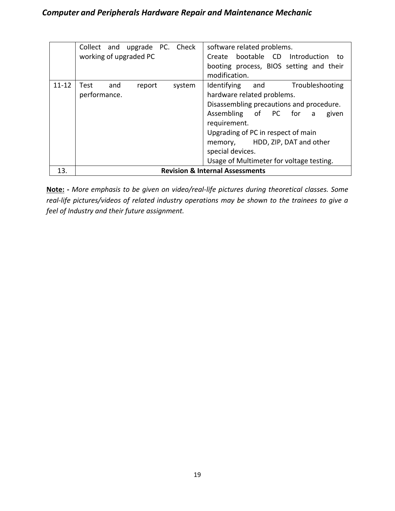|           | Collect and upgrade PC. Check<br>working of upgraded PC | software related problems.<br>Create bootable CD Introduction to<br>booting process, BIOS setting and their<br>modification.                                                                                                                                                                             |
|-----------|---------------------------------------------------------|----------------------------------------------------------------------------------------------------------------------------------------------------------------------------------------------------------------------------------------------------------------------------------------------------------|
| $11 - 12$ | and<br>Test<br>system<br>report<br>performance.         | Identifying and<br>Troubleshooting<br>hardware related problems.<br>Disassembling precautions and procedure.<br>Assembling of PC for a<br>given<br>requirement.<br>Upgrading of PC in respect of main<br>memory, HDD, ZIP, DAT and other<br>special devices.<br>Usage of Multimeter for voltage testing. |
| 13.       |                                                         | <b>Revision &amp; Internal Assessments</b>                                                                                                                                                                                                                                                               |

**Note: -** *More emphasis to be given on video/real-life pictures during theoretical classes. Some real-life pictures/videos of related industry operations may be shown to the trainees to give a feel of Industry and their future assignment.*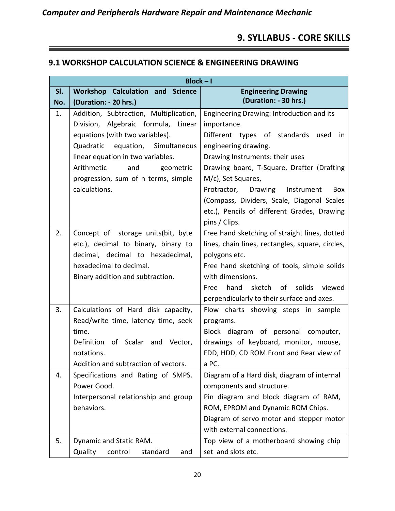# **9. SYLLABUS - CORE SKILLS**

#### **9.1 WORKSHOP CALCULATION SCIENCE & ENGINEERING DRAWING**

|     | $Block - I$                             |                                                  |
|-----|-----------------------------------------|--------------------------------------------------|
| SI. | <b>Workshop Calculation and Science</b> | <b>Engineering Drawing</b>                       |
| No. | (Duration: - 20 hrs.)                   | (Duration: - 30 hrs.)                            |
| 1.  | Addition, Subtraction, Multiplication,  | Engineering Drawing: Introduction and its        |
|     | Division, Algebraic formula, Linear     | importance.                                      |
|     | equations (with two variables).         | Different types of standards used<br>in          |
|     | Quadratic equation, Simultaneous        | engineering drawing.                             |
|     | linear equation in two variables.       | Drawing Instruments: their uses                  |
|     | Arithmetic<br>and<br>geometric          | Drawing board, T-Square, Drafter (Drafting       |
|     | progression, sum of n terms, simple     | M/c), Set Squares,                               |
|     | calculations.                           | Protractor, Drawing Instrument<br>Box            |
|     |                                         | (Compass, Dividers, Scale, Diagonal Scales       |
|     |                                         | etc.), Pencils of different Grades, Drawing      |
|     |                                         | pins / Clips.                                    |
| 2.  | Concept of storage units(bit, byte      | Free hand sketching of straight lines, dotted    |
|     | etc.), decimal to binary, binary to     | lines, chain lines, rectangles, square, circles, |
|     | decimal, decimal to hexadecimal,        | polygons etc.                                    |
|     | hexadecimal to decimal.                 | Free hand sketching of tools, simple solids      |
|     | Binary addition and subtraction.        | with dimensions.                                 |
|     |                                         | hand sketch of<br>solids<br>viewed<br>Free       |
|     |                                         | perpendicularly to their surface and axes.       |
| 3.  | Calculations of Hard disk capacity,     | Flow charts showing steps in sample              |
|     | Read/write time, latency time, seek     | programs.                                        |
|     | time.                                   | Block diagram of personal computer,              |
|     | Definition of Scalar and Vector,        | drawings of keyboard, monitor, mouse,            |
|     | notations.                              | FDD, HDD, CD ROM.Front and Rear view of          |
|     | Addition and subtraction of vectors.    | a PC.                                            |
| 4.  | Specifications and Rating of SMPS.      | Diagram of a Hard disk, diagram of internal      |
|     | Power Good.                             | components and structure.                        |
|     | Interpersonal relationship and group    | Pin diagram and block diagram of RAM,            |
|     | behaviors.                              | ROM, EPROM and Dynamic ROM Chips.                |
|     |                                         | Diagram of servo motor and stepper motor         |
|     |                                         | with external connections.                       |
| 5.  | Dynamic and Static RAM.                 | Top view of a motherboard showing chip           |
|     | Quality<br>control<br>standard<br>and   | set and slots etc.                               |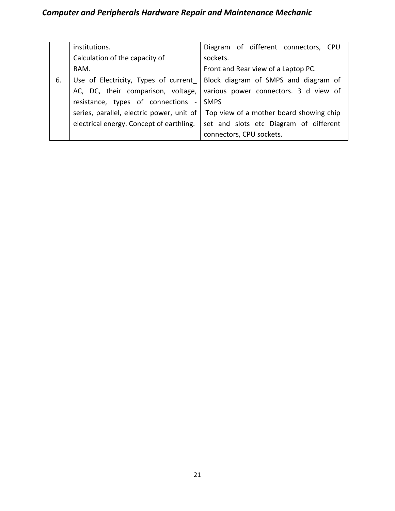|    | institutions.                             | Diagram of different connectors, CPU    |
|----|-------------------------------------------|-----------------------------------------|
|    | Calculation of the capacity of            | sockets.                                |
|    | RAM.                                      | Front and Rear view of a Laptop PC.     |
| 6. | Use of Electricity, Types of current      | Block diagram of SMPS and diagram of    |
|    | AC, DC, their comparison, voltage,        | various power connectors. 3 d view of   |
|    | resistance, types of connections -        | <b>SMPS</b>                             |
|    | series, parallel, electric power, unit of | Top view of a mother board showing chip |
|    | electrical energy. Concept of earthling.  | set and slots etc Diagram of different  |
|    |                                           | connectors, CPU sockets.                |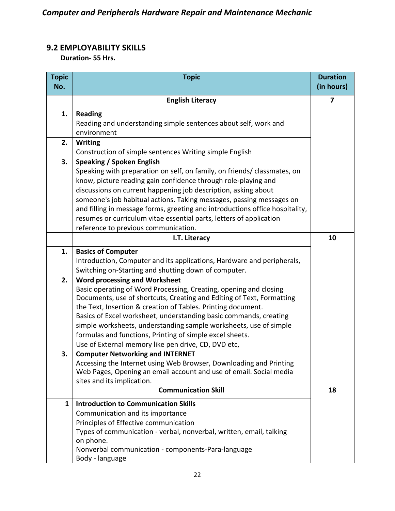# **9.2 EMPLOYABILITY SKILLS**

 **Duration- 55 Hrs.**

| <b>Topic</b><br>No. | <b>Topic</b>                                                                                                                               | <b>Duration</b><br>(in hours) |
|---------------------|--------------------------------------------------------------------------------------------------------------------------------------------|-------------------------------|
|                     |                                                                                                                                            |                               |
|                     | <b>English Literacy</b>                                                                                                                    | 7                             |
| 1.                  | <b>Reading</b>                                                                                                                             |                               |
|                     | Reading and understanding simple sentences about self, work and                                                                            |                               |
|                     | environment                                                                                                                                |                               |
| 2.                  | <b>Writing</b>                                                                                                                             |                               |
|                     | Construction of simple sentences Writing simple English                                                                                    |                               |
| 3.                  | <b>Speaking / Spoken English</b>                                                                                                           |                               |
|                     | Speaking with preparation on self, on family, on friends/ classmates, on                                                                   |                               |
|                     | know, picture reading gain confidence through role-playing and                                                                             |                               |
|                     | discussions on current happening job description, asking about                                                                             |                               |
|                     | someone's job habitual actions. Taking messages, passing messages on                                                                       |                               |
|                     | and filling in message forms, greeting and introductions office hospitality,                                                               |                               |
|                     | resumes or curriculum vitae essential parts, letters of application<br>reference to previous communication.                                |                               |
|                     | I.T. Literacy                                                                                                                              | 10                            |
|                     |                                                                                                                                            |                               |
| 1.                  | <b>Basics of Computer</b>                                                                                                                  |                               |
|                     | Introduction, Computer and its applications, Hardware and peripherals,                                                                     |                               |
|                     | Switching on-Starting and shutting down of computer.                                                                                       |                               |
| 2.                  | <b>Word processing and Worksheet</b>                                                                                                       |                               |
|                     | Basic operating of Word Processing, Creating, opening and closing<br>Documents, use of shortcuts, Creating and Editing of Text, Formatting |                               |
|                     | the Text, Insertion & creation of Tables. Printing document.                                                                               |                               |
|                     | Basics of Excel worksheet, understanding basic commands, creating                                                                          |                               |
|                     | simple worksheets, understanding sample worksheets, use of simple                                                                          |                               |
|                     | formulas and functions, Printing of simple excel sheets.                                                                                   |                               |
|                     | Use of External memory like pen drive, CD, DVD etc,                                                                                        |                               |
| 3.                  | <b>Computer Networking and INTERNET</b>                                                                                                    |                               |
|                     | Accessing the Internet using Web Browser, Downloading and Printing                                                                         |                               |
|                     | Web Pages, Opening an email account and use of email. Social media                                                                         |                               |
|                     | sites and its implication.                                                                                                                 |                               |
|                     | <b>Communication Skill</b>                                                                                                                 | 18                            |
| $\mathbf{1}$        | <b>Introduction to Communication Skills</b>                                                                                                |                               |
|                     | Communication and its importance                                                                                                           |                               |
|                     | Principles of Effective communication                                                                                                      |                               |
|                     | Types of communication - verbal, nonverbal, written, email, talking                                                                        |                               |
|                     | on phone.                                                                                                                                  |                               |
|                     | Nonverbal communication - components-Para-language                                                                                         |                               |
|                     | Body - language                                                                                                                            |                               |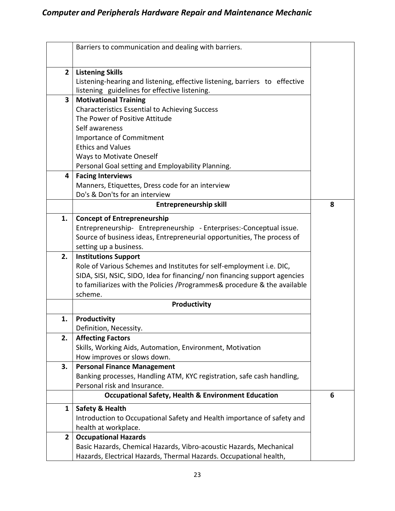|                         | Barriers to communication and dealing with barriers.                                                   |   |
|-------------------------|--------------------------------------------------------------------------------------------------------|---|
|                         |                                                                                                        |   |
| $\overline{2}$          | <b>Listening Skills</b><br>Listening-hearing and listening, effective listening, barriers to effective |   |
|                         | listening guidelines for effective listening.                                                          |   |
| $\overline{\mathbf{3}}$ | <b>Motivational Training</b>                                                                           |   |
|                         | <b>Characteristics Essential to Achieving Success</b>                                                  |   |
|                         | The Power of Positive Attitude                                                                         |   |
|                         | Self awareness                                                                                         |   |
|                         | Importance of Commitment                                                                               |   |
|                         | <b>Ethics and Values</b>                                                                               |   |
|                         | <b>Ways to Motivate Oneself</b>                                                                        |   |
|                         | Personal Goal setting and Employability Planning.                                                      |   |
| 4                       | <b>Facing Interviews</b>                                                                               |   |
|                         | Manners, Etiquettes, Dress code for an interview                                                       |   |
|                         | Do's & Don'ts for an interview                                                                         |   |
|                         | <b>Entrepreneurship skill</b>                                                                          | 8 |
|                         |                                                                                                        |   |
| 1.                      | <b>Concept of Entrepreneurship</b>                                                                     |   |
|                         | Entrepreneurship- Entrepreneurship - Enterprises:-Conceptual issue.                                    |   |
|                         | Source of business ideas, Entrepreneurial opportunities, The process of                                |   |
|                         | setting up a business.                                                                                 |   |
| 2.                      | <b>Institutions Support</b>                                                                            |   |
|                         | Role of Various Schemes and Institutes for self-employment i.e. DIC,                                   |   |
|                         | SIDA, SISI, NSIC, SIDO, Idea for financing/ non financing support agencies                             |   |
|                         | to familiarizes with the Policies / Programmes & procedure & the available                             |   |
|                         | scheme.                                                                                                |   |
|                         | Productivity                                                                                           |   |
| 1.                      | Productivity                                                                                           |   |
|                         | Definition, Necessity.                                                                                 |   |
| 2.                      | <b>Affecting Factors</b>                                                                               |   |
|                         | Skills, Working Aids, Automation, Environment, Motivation                                              |   |
|                         | How improves or slows down.                                                                            |   |
| 3.                      | <b>Personal Finance Management</b>                                                                     |   |
|                         | Banking processes, Handling ATM, KYC registration, safe cash handling,                                 |   |
|                         | Personal risk and Insurance.                                                                           |   |
|                         | <b>Occupational Safety, Health &amp; Environment Education</b>                                         | 6 |
| $\mathbf{1}$            | <b>Safety &amp; Health</b>                                                                             |   |
|                         | Introduction to Occupational Safety and Health importance of safety and                                |   |
|                         | health at workplace.                                                                                   |   |
| $\overline{2}$          | <b>Occupational Hazards</b>                                                                            |   |
|                         | Basic Hazards, Chemical Hazards, Vibro-acoustic Hazards, Mechanical                                    |   |
|                         | Hazards, Electrical Hazards, Thermal Hazards. Occupational health,                                     |   |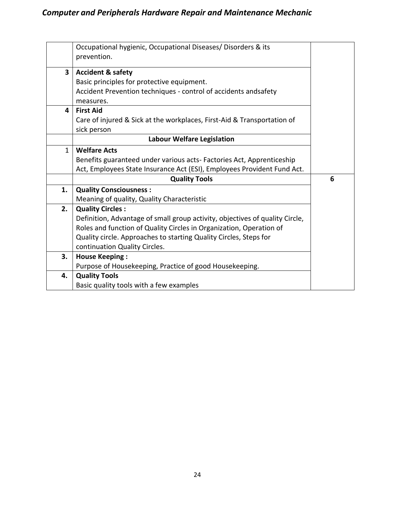|              | Occupational hygienic, Occupational Diseases/ Disorders & its                |   |
|--------------|------------------------------------------------------------------------------|---|
|              | prevention.                                                                  |   |
| 3            | <b>Accident &amp; safety</b>                                                 |   |
|              | Basic principles for protective equipment.                                   |   |
|              | Accident Prevention techniques - control of accidents andsafety              |   |
|              | measures.                                                                    |   |
| 4            | <b>First Aid</b>                                                             |   |
|              | Care of injured & Sick at the workplaces, First-Aid & Transportation of      |   |
|              | sick person                                                                  |   |
|              | <b>Labour Welfare Legislation</b>                                            |   |
| $\mathbf{1}$ | <b>Welfare Acts</b>                                                          |   |
|              | Benefits guaranteed under various acts-Factories Act, Apprenticeship         |   |
|              | Act, Employees State Insurance Act (ESI), Employees Provident Fund Act.      |   |
|              | <b>Quality Tools</b>                                                         | 6 |
| 1.           | <b>Quality Consciousness:</b>                                                |   |
|              | Meaning of quality, Quality Characteristic                                   |   |
| 2.           | <b>Quality Circles:</b>                                                      |   |
|              | Definition, Advantage of small group activity, objectives of quality Circle, |   |
|              | Roles and function of Quality Circles in Organization, Operation of          |   |
|              | Quality circle. Approaches to starting Quality Circles, Steps for            |   |
|              | continuation Quality Circles.                                                |   |
| 3.           | <b>House Keeping:</b>                                                        |   |
|              | Purpose of Housekeeping, Practice of good Housekeeping.                      |   |
| 4.           | <b>Quality Tools</b>                                                         |   |
|              | Basic quality tools with a few examples                                      |   |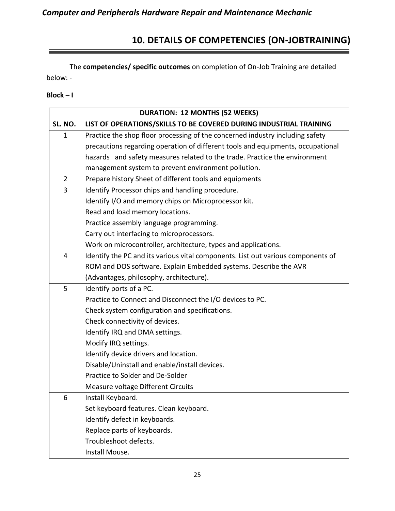# **10. DETAILS OF COMPETENCIES (ON-JOBTRAINING)**

 $=$ 

The **competencies/ specific outcomes** on completion of On-Job Training are detailed below: -

#### **Block – I**

| <b>DURATION: 12 MONTHS (52 WEEKS)</b> |                                                                                  |  |
|---------------------------------------|----------------------------------------------------------------------------------|--|
| SL. NO.                               | LIST OF OPERATIONS/SKILLS TO BE COVERED DURING INDUSTRIAL TRAINING               |  |
| $\mathbf{1}$                          | Practice the shop floor processing of the concerned industry including safety    |  |
|                                       | precautions regarding operation of different tools and equipments, occupational  |  |
|                                       | hazards and safety measures related to the trade. Practice the environment       |  |
|                                       | management system to prevent environment pollution.                              |  |
| $\overline{2}$                        | Prepare history Sheet of different tools and equipments                          |  |
| 3                                     | Identify Processor chips and handling procedure.                                 |  |
|                                       | Identify I/O and memory chips on Microprocessor kit.                             |  |
|                                       | Read and load memory locations.                                                  |  |
|                                       | Practice assembly language programming.                                          |  |
|                                       | Carry out interfacing to microprocessors.                                        |  |
|                                       | Work on microcontroller, architecture, types and applications.                   |  |
| 4                                     | Identify the PC and its various vital components. List out various components of |  |
|                                       | ROM and DOS software. Explain Embedded systems. Describe the AVR                 |  |
|                                       | (Advantages, philosophy, architecture).                                          |  |
| 5                                     | Identify ports of a PC.                                                          |  |
|                                       | Practice to Connect and Disconnect the I/O devices to PC.                        |  |
|                                       | Check system configuration and specifications.                                   |  |
|                                       | Check connectivity of devices.                                                   |  |
|                                       | Identify IRQ and DMA settings.                                                   |  |
|                                       | Modify IRQ settings.                                                             |  |
|                                       | Identify device drivers and location.                                            |  |
|                                       | Disable/Uninstall and enable/install devices.                                    |  |
|                                       | Practice to Solder and De-Solder                                                 |  |
|                                       | Measure voltage Different Circuits                                               |  |
| 6                                     | Install Keyboard.                                                                |  |
|                                       | Set keyboard features. Clean keyboard.                                           |  |
|                                       | Identify defect in keyboards.                                                    |  |
|                                       | Replace parts of keyboards.                                                      |  |
|                                       | Troubleshoot defects.                                                            |  |
|                                       | Install Mouse.                                                                   |  |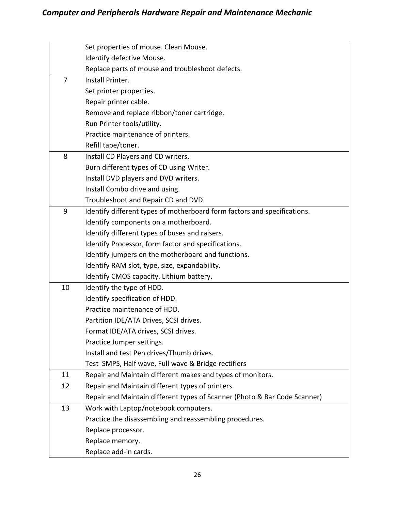|                | Set properties of mouse. Clean Mouse.                                     |
|----------------|---------------------------------------------------------------------------|
|                | Identify defective Mouse.                                                 |
|                | Replace parts of mouse and troubleshoot defects.                          |
| $\overline{7}$ | Install Printer.                                                          |
|                | Set printer properties.                                                   |
|                | Repair printer cable.                                                     |
|                | Remove and replace ribbon/toner cartridge.                                |
|                | Run Printer tools/utility.                                                |
|                | Practice maintenance of printers.                                         |
|                | Refill tape/toner.                                                        |
| 8              | Install CD Players and CD writers.                                        |
|                | Burn different types of CD using Writer.                                  |
|                | Install DVD players and DVD writers.                                      |
|                | Install Combo drive and using.                                            |
|                | Troubleshoot and Repair CD and DVD.                                       |
| 9              | Identify different types of motherboard form factors and specifications.  |
|                | Identify components on a motherboard.                                     |
|                | Identify different types of buses and raisers.                            |
|                | Identify Processor, form factor and specifications.                       |
|                | Identify jumpers on the motherboard and functions.                        |
|                | Identify RAM slot, type, size, expandability.                             |
|                | Identify CMOS capacity. Lithium battery.                                  |
| 10             | Identify the type of HDD.                                                 |
|                | Identify specification of HDD.                                            |
|                | Practice maintenance of HDD.                                              |
|                | Partition IDE/ATA Drives, SCSI drives.                                    |
|                | Format IDE/ATA drives, SCSI drives.                                       |
|                | Practice Jumper settings.                                                 |
|                | Install and test Pen drives/Thumb drives.                                 |
|                | Test SMPS, Half wave, Full wave & Bridge rectifiers                       |
| 11             | Repair and Maintain different makes and types of monitors.                |
| 12             | Repair and Maintain different types of printers.                          |
|                | Repair and Maintain different types of Scanner (Photo & Bar Code Scanner) |
| 13             | Work with Laptop/notebook computers.                                      |
|                | Practice the disassembling and reassembling procedures.                   |
|                | Replace processor.                                                        |
|                | Replace memory.                                                           |
|                | Replace add-in cards.                                                     |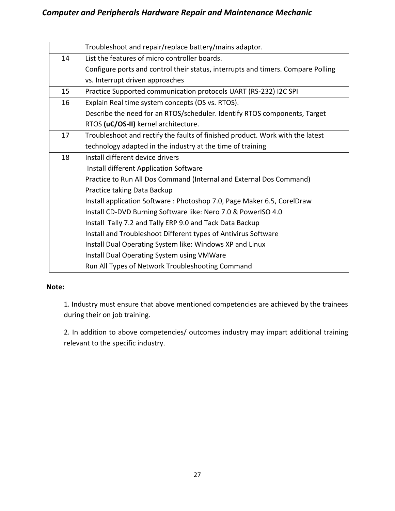|    | Troubleshoot and repair/replace battery/mains adaptor.                           |
|----|----------------------------------------------------------------------------------|
| 14 | List the features of micro controller boards.                                    |
|    | Configure ports and control their status, interrupts and timers. Compare Polling |
|    | vs. Interrupt driven approaches                                                  |
| 15 | Practice Supported communication protocols UART (RS-232) I2C SPI                 |
| 16 | Explain Real time system concepts (OS vs. RTOS).                                 |
|    | Describe the need for an RTOS/scheduler. Identify RTOS components, Target        |
|    | RTOS (uC/OS-II) kernel architecture.                                             |
| 17 | Troubleshoot and rectify the faults of finished product. Work with the latest    |
|    | technology adapted in the industry at the time of training                       |
| 18 | Install different device drivers                                                 |
|    | Install different Application Software                                           |
|    | Practice to Run All Dos Command (Internal and External Dos Command)              |
|    | Practice taking Data Backup                                                      |
|    | Install application Software: Photoshop 7.0, Page Maker 6.5, CorelDraw           |
|    | Install CD-DVD Burning Software like: Nero 7.0 & PowerISO 4.0                    |
|    | Install Tally 7.2 and Tally ERP 9.0 and Tack Data Backup                         |
|    | Install and Troubleshoot Different types of Antivirus Software                   |
|    | Install Dual Operating System like: Windows XP and Linux                         |
|    | Install Dual Operating System using VMWare                                       |
|    | Run All Types of Network Troubleshooting Command                                 |

#### **Note:**

1. Industry must ensure that above mentioned competencies are achieved by the trainees during their on job training.

2. In addition to above competencies/ outcomes industry may impart additional training relevant to the specific industry.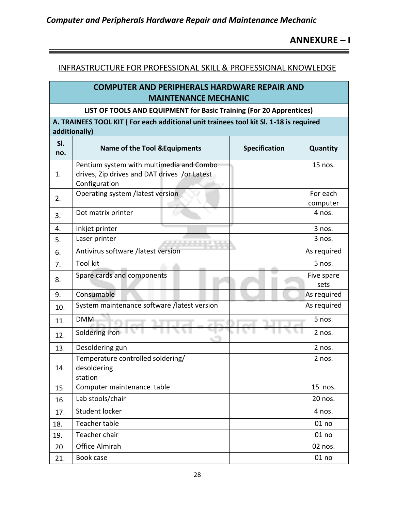# **ANNEXURE – I**

 $\overline{\phantom{0}}$ 

#### INFRASTRUCTURE FOR PROFESSIONAL SKILL & PROFESSIONAL KNOWLEDGE

# **COMPUTER AND PERIPHERALS HARDWARE REPAIR AND MAINTENANCE MECHANIC**

#### **LIST OF TOOLS AND EQUIPMENT for Basic Training (For 20 Apprentices)**

**A. TRAINEES TOOL KIT ( For each additional unit trainees tool kit Sl. 1-18 is required additionally)** 

| SI.<br>no. | <b>Name of the Tool &amp; Equipments</b>                    | Specification | Quantity             |  |  |  |
|------------|-------------------------------------------------------------|---------------|----------------------|--|--|--|
|            | Pentium system with multimedia and Combo                    |               | $15$ nos.            |  |  |  |
| 1.         | drives, Zip drives and DAT drives /or Latest                |               |                      |  |  |  |
|            | Configuration                                               |               |                      |  |  |  |
| 2.         | Operating system /latest version                            |               | For each<br>computer |  |  |  |
| 3.         | Dot matrix printer                                          |               | 4 nos.               |  |  |  |
| 4.         | Inkjet printer                                              |               | 3 nos.               |  |  |  |
| 5.         | Laser printer<br><b>ALCOHOL: U.S.</b>                       |               | 3 nos.               |  |  |  |
| 6.         | Antivirus software /latest version                          |               | As required          |  |  |  |
| 7.         | <b>Tool kit</b>                                             |               | 5 nos.               |  |  |  |
| 8.         | Spare cards and components                                  |               | Five spare<br>sets   |  |  |  |
| 9.         | Consumable                                                  |               | As required          |  |  |  |
| 10.        | System maintenance software /latest version                 |               | As required          |  |  |  |
| 11.        | <b>DMM</b>                                                  |               | 5 nos.               |  |  |  |
| 12.        | Soldering iron                                              |               | 2 nos.               |  |  |  |
| 13.        | Desoldering gun                                             |               | 2 nos.               |  |  |  |
| 14.        | Temperature controlled soldering/<br>desoldering<br>station |               | 2 nos.               |  |  |  |
| 15.        | Computer maintenance table                                  |               | 15 nos.              |  |  |  |
| 16.        | Lab stools/chair                                            |               | 20 nos.              |  |  |  |
| 17.        | <b>Student locker</b>                                       |               | 4 nos.               |  |  |  |
| 18.        | <b>Teacher table</b>                                        |               | 01 no                |  |  |  |
| 19.        | Teacher chair                                               |               | 01 no                |  |  |  |
| 20.        | Office Almirah                                              |               | 02 nos.              |  |  |  |
| 21.        | Book case                                                   |               | 01 no                |  |  |  |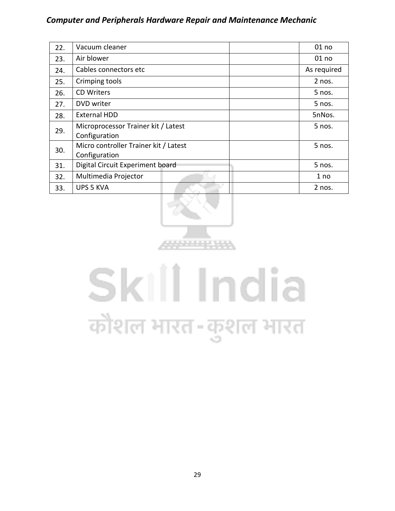| 22. | Vacuum cleaner                                         | 01 no       |  |  |
|-----|--------------------------------------------------------|-------------|--|--|
| 23. | Air blower                                             | 01 no       |  |  |
| 24. | Cables connectors etc                                  | As required |  |  |
| 25. | Crimping tools                                         | 2 nos.      |  |  |
| 26. | <b>CD Writers</b>                                      | 5 nos.      |  |  |
| 27. | DVD writer                                             | 5 nos.      |  |  |
| 28. | <b>External HDD</b>                                    | 5nNos.      |  |  |
| 29. | Microprocessor Trainer kit / Latest<br>Configuration   | 5 nos.      |  |  |
| 30. | Micro controller Trainer kit / Latest<br>Configuration | 5 nos.      |  |  |
| 31. | Digital Circuit Experiment board                       | 5 nos.      |  |  |
| 32. | Multimedia Projector                                   | 1 no        |  |  |
| 33. | <b>UPS 5 KVA</b>                                       | 2 nos.      |  |  |



# Skill India कौशल भारत-कुशल भारत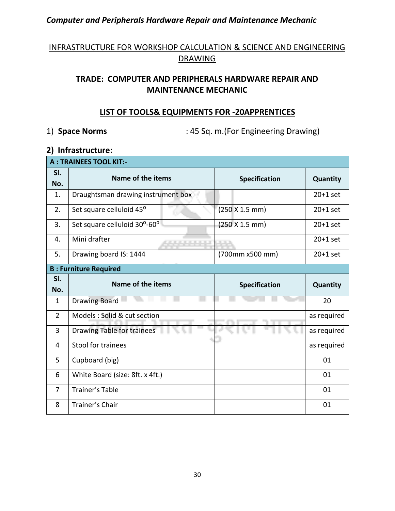# INFRASTRUCTURE FOR WORKSHOP CALCULATION & SCIENCE AND ENGINEERING **DRAWING**

# **TRADE: COMPUTER AND PERIPHERALS HARDWARE REPAIR AND MAINTENANCE MECHANIC**

#### **LIST OF TOOLS& EQUIPMENTS FOR -20APPRENTICES**

1) **Space Norms** : 45 Sq. m.(For Engineering Drawing)

#### **2) Infrastructure:**

| <b>A: TRAINEES TOOL KIT:-</b> |                                    |                      |                 |  |  |  |  |  |  |
|-------------------------------|------------------------------------|----------------------|-----------------|--|--|--|--|--|--|
| SI.<br>No.                    | Name of the items                  | <b>Specification</b> | Quantity        |  |  |  |  |  |  |
| 1.                            | Draughtsman drawing instrument box |                      | $20+1$ set      |  |  |  |  |  |  |
| 2.                            | Set square celluloid 45°           | (250 X 1.5 mm)       | $20+1$ set      |  |  |  |  |  |  |
| 3.                            | Set square celluloid 30°-60°       | (250 X 1.5 mm)       | $20+1$ set      |  |  |  |  |  |  |
| 4.                            | Mini drafter<br>化无机机               |                      | $20+1$ set      |  |  |  |  |  |  |
| 5.                            | Drawing board IS: 1444             | (700mm x500 mm)      | $20+1$ set      |  |  |  |  |  |  |
|                               | <b>B: Furniture Required</b>       |                      |                 |  |  |  |  |  |  |
| SI.                           | Name of the items                  | <b>Specification</b> | <b>Quantity</b> |  |  |  |  |  |  |
| No.                           |                                    |                      |                 |  |  |  |  |  |  |
| $\mathbf{1}$                  | <b>Drawing Board</b>               |                      | 20              |  |  |  |  |  |  |
| $\overline{2}$                | Models : Solid & cut section       |                      | as required     |  |  |  |  |  |  |
| $\overline{3}$                | Drawing Table for trainees         |                      | as required     |  |  |  |  |  |  |
| 4                             | <b>Stool for trainees</b>          |                      | as required     |  |  |  |  |  |  |
| 5                             | Cupboard (big)                     |                      | 01              |  |  |  |  |  |  |
| 6                             | White Board (size: 8ft. x 4ft.)    |                      | 01              |  |  |  |  |  |  |
| 7                             | <b>Trainer's Table</b>             |                      | 01              |  |  |  |  |  |  |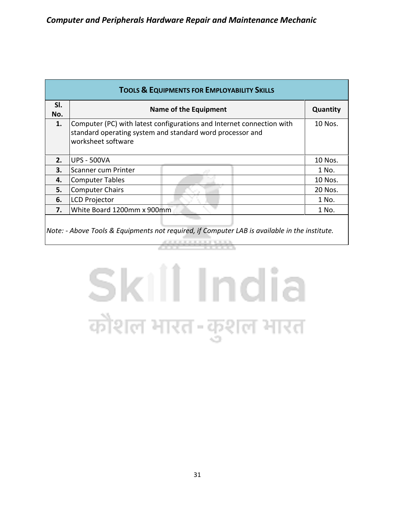| <b>TOOLS &amp; EQUIPMENTS FOR EMPLOYABILITY SKILLS</b> |                                                                                                                                                          |          |  |  |  |  |  |  |
|--------------------------------------------------------|----------------------------------------------------------------------------------------------------------------------------------------------------------|----------|--|--|--|--|--|--|
| SI.<br>No.                                             | Name of the Equipment                                                                                                                                    | Quantity |  |  |  |  |  |  |
| 1.                                                     | Computer (PC) with latest configurations and Internet connection with<br>standard operating system and standard word processor and<br>worksheet software | 10 Nos.  |  |  |  |  |  |  |
| 2.                                                     | <b>UPS - 500VA</b>                                                                                                                                       | 10 Nos.  |  |  |  |  |  |  |
| 3.                                                     | Scanner cum Printer                                                                                                                                      | 1 No.    |  |  |  |  |  |  |
| 4.                                                     | <b>Computer Tables</b>                                                                                                                                   | 10 Nos.  |  |  |  |  |  |  |
| 5.                                                     | <b>Computer Chairs</b>                                                                                                                                   | 20 Nos.  |  |  |  |  |  |  |
| 6.                                                     | <b>LCD Projector</b>                                                                                                                                     | 1 No.    |  |  |  |  |  |  |
| 7.                                                     | White Board 1200mm x 900mm                                                                                                                               | 1 No.    |  |  |  |  |  |  |
|                                                        |                                                                                                                                                          |          |  |  |  |  |  |  |

*Note: - Above Tools & Equipments not required, if Computer LAB is available in the institute.*

# Skill India कौशल भारत-कुशल भारत